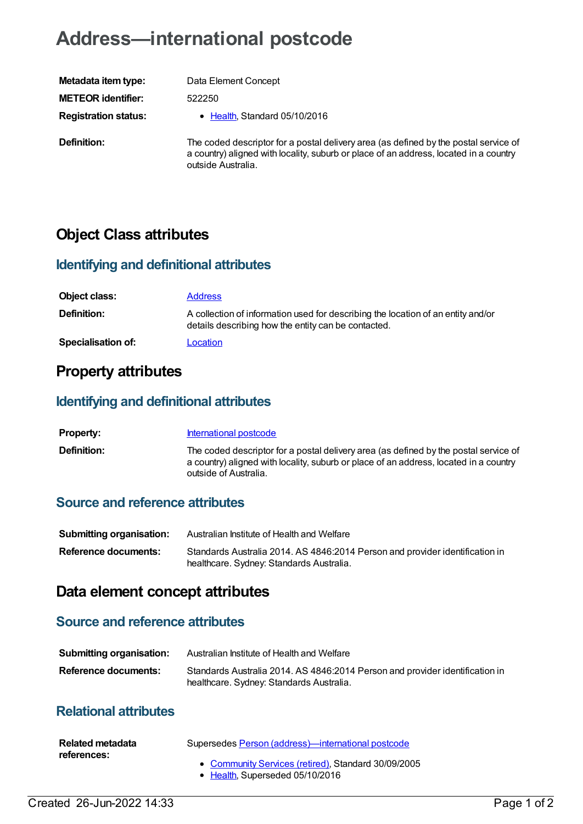# **Address—international postcode**

| Metadata item type:         |
|-----------------------------|
| <b>METEOR identifier:</b>   |
| <b>Registration status:</b> |
| <b>D.C.U.</b>               |

**Data Element Concept METEOR identifier:** 522250

**• [Health](https://meteor.aihw.gov.au/RegistrationAuthority/12), Standard 05/10/2016** 

**Definition:** The coded descriptor for a postal delivery area (as defined by the postal service of a country) aligned with locality, suburb or place of an address, located in a country outside Australia.

## **Object Class attributes**

#### **Identifying and definitional attributes**

| Object class:             | <b>Address</b>                                                                                                                          |
|---------------------------|-----------------------------------------------------------------------------------------------------------------------------------------|
| <b>Definition:</b>        | A collection of information used for describing the location of an entity and/or<br>details describing how the entity can be contacted. |
| <b>Specialisation of:</b> | Location                                                                                                                                |

### **Property attributes**

#### **Identifying and definitional attributes**

| <b>Property:</b>   | International postcode                                                                                                                                                                                 |
|--------------------|--------------------------------------------------------------------------------------------------------------------------------------------------------------------------------------------------------|
| <b>Definition:</b> | The coded descriptor for a postal delivery area (as defined by the postal service of<br>a country) aligned with locality, suburb or place of an address, located in a country<br>outside of Australia. |

#### **Source and reference attributes**

| Submitting organisation: | Australian Institute of Health and Welfare                                                                               |
|--------------------------|--------------------------------------------------------------------------------------------------------------------------|
| Reference documents:     | Standards Australia 2014. AS 4846:2014 Person and provider identification in<br>healthcare. Sydney: Standards Australia. |

### **Data element concept attributes**

#### **Source and reference attributes**

| Submitting organisation: | Australian Institute of Health and Welfare                                                                               |
|--------------------------|--------------------------------------------------------------------------------------------------------------------------|
| Reference documents:     | Standards Australia 2014. AS 4846:2014 Person and provider identification in<br>healthcare. Sydney: Standards Australia. |

#### **Relational attributes**

| Related metadata | Supersedes Person (address)—international postcode                                     |
|------------------|----------------------------------------------------------------------------------------|
| references:      | • Community Services (retired). Standard 30/09/2005<br>• Health. Superseded 05/10/2016 |